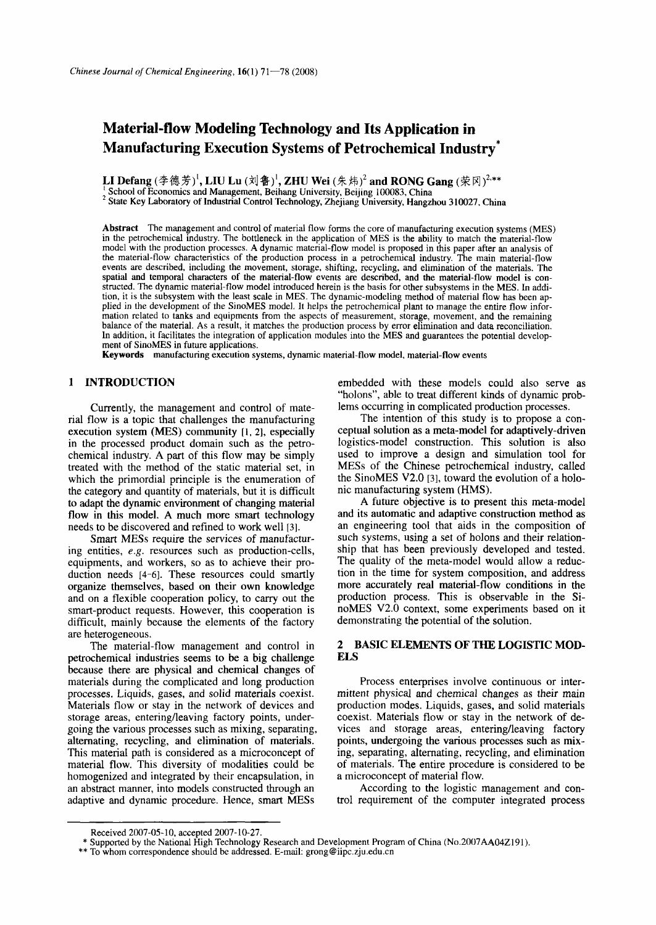# **Material-flow Modeling Technology and Its Application in Manufacturing Execution Systems of Petrochemical Industry\***

LI Defang (李德芳)<sup>1</sup>, LIU Lu (刘鲁)<sup>1</sup>, ZHU Wei (朱炜)<sup>2</sup> and RONG Gang (荣冈)<sup>2,\*\*</sup><br><sup>1</sup> School of Economics and Management, Beihang University, Beijing **100083**, China

<sup>2</sup> State Key Laboratory of Industrial Control Technology, Zhejiang University, Hangzhou 310027, China

**Abstract** The management and control of material flow forms the core of manufacturing execution systems (MES) in the petrochemical industry. The bottleneck in the application of MES is the ability to match the material-flow model with the production processes. **A** dynamic material-flow model is proposed in this paper after **an** analysis of the material-flow characteristics of the production process in a petrochemical industry. The main material-flow events are described, including the movement, storage, shifting, recycling, and elimination of the materials. The spatial and temporal characters of the material-flow events are described, and the material-flow model is constructed. The dynamic material-flow model introduced herein is the basis for other subsystems in the MES. In addition, it is the subsystem with the least scale in MES. The dynamic-modeling method of material flow has been applied in the development of the **SinoMES** model. It helps the petrochemical plant to manage the entire flow information related to tanks and equipments from the aspects of measurement, storage, movement, and the remaining balance of the material. As a result, it matches the production process by error elimination and data reconciliation. In addition, it facilitates the integration of application modules into the MES and guarantees the potential development of SinoMES in future applications.

**Keywords** manufacturing execution systems, dynamic material-flow model, material-flow events

# **1 INTRODUCTION**

Currently, the management and control of material flow is a topic that challenges the manufacturing execution system **(MES)** community [ **1, 21,** especially in the processed product domain such as the petrochemical industry. A part of this flow may be simply treated with the method of the static material set, in which the primordial principle is the enumeration of the category and quantity of materials, but it is difficult to adapt the dynamic environment of changing material flow in this model. A much more **smart** technology needs to be discovered and refined to work well [3].

Smart MESs require the services of manufacturing entities, *e.g.* resources such as production-cells, equipments, and workers, so as to achieve their production needs 14-61. These resources could smartly organize themselves, based on their own knowledge and on a flexible cooperation policy, to cany out the smart-product requests. However, this cooperation is difficult, mainly because the elements of the factory are heterogeneous.

The material-flow management and control in petrochemical industries seems to be a big challenge because there are physical and chemical changes of materials during the complicated and long production processes. Liquids, gases, and solid materials coexist. Materials flow or stay in the network of devices and storage areas, entering/leaving factory points, undergoing the various processes such as mixing, separating, alternating, recycling, and elimination of materials. This material path is considered as a microconcept of material flow. This diversity of modalities could be homogenized and integrated by their encapsulation, in **an** abstract manner, into models constructed through **an**  adaptive and dynamic procedure. Hence, smart **MESs** 

embedded with these models could also serve as "holons", able to treat different kinds of dynamic problems occurring in complicated production processes.

The intention of this study is to propose a conceptual solution as a meta-model for adaptively-driven logistics-model construction. This solution is also used to improve a design and simulation tool for MESs of the Chinese petrochemical industry, called the SinoMES **V2.0 [3],** toward the evolution of a holonic manufacturing system (HMS).

A future objective is to present this meta-model and its automatic and adaptive construction method as an engineering tool that aids in the composition of such systems, using a set of holons and their relationship that has been previously developed and tested. The quality of the meta-model would allow a reduction in the time for system composition, and address more accurately real material-flow conditions in the production process. This is observable in the SinoMES V2.0 context, some experiments based on it demonstrating the potential of the solution.

# **2 BASIC ELEMENTS OF THE LOGISTIC MOD-ELS**

Process enterprises involve continuous or intermittent physical and chemical changes as their main production modes. Liquids, gases, and solid materials coexist. Materials flow or stay in the network of devices and storage areas, entering/leaving factory points, undergoing the various processes such as mixing, separating, alternating, recycling, and elimination of materials. The entire procedure is considered to be a microconcept of material flow.

According to the logistic management and control requirement of the computer integrated process

Received 2007-05-10, accepted 2007-10-27. \* Supported by the National High Technology Research and Development Program of China (No.2007AA04Z191). \*\* To whom correspondence should be addressed. E-mail: grong@iipc.zju.edu.c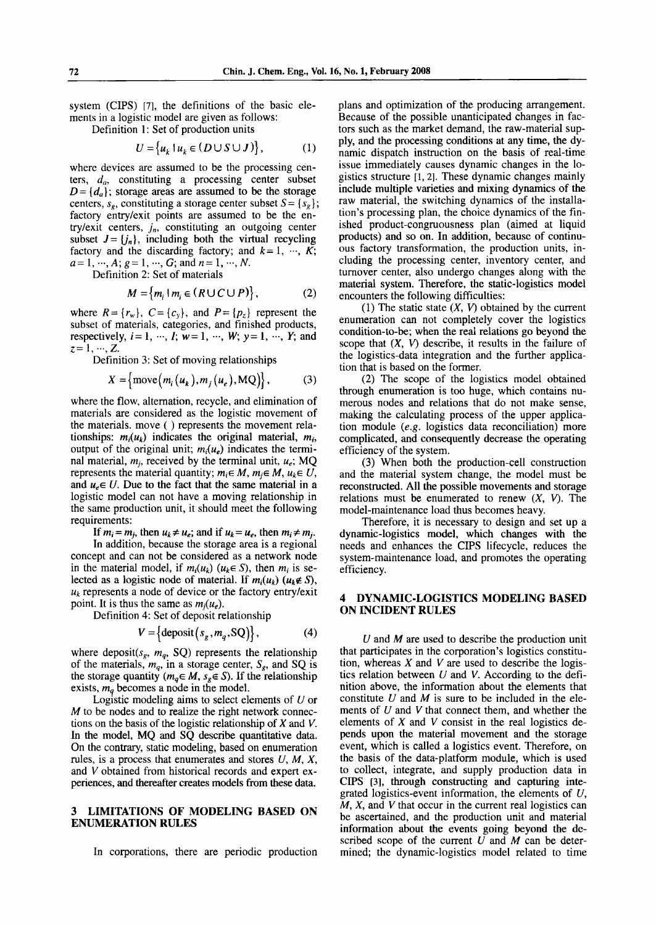system **(CIPS)** *[7],* the definitions of the basic elements in a logistic model are given as follows:

Definition **1:** Set of production units

$$
U = \{u_k \mid u_k \in (D \cup S \cup J)\},\tag{1}
$$

where devices are assumed to be the processing centers,  $d_a$ , constituting a processing center subset  $D = \{d_a\}$ ; storage areas are assumed to be the storage centers,  $s_g$ , constituting a storage center subset  $S = \{s_g\};$ factory entry/exit points are assumed to be the entry/exit centers,  $j_n$ , constituting an outgoing center subset  $J = \{j_n\}$ , including both the virtual recycling factory and the discarding factory; and  $k = 1, \dots, K$ ;  $a=1, \dots, A$ ;  $g=1, \dots, G$ ; and  $n=1, \dots, N$ .

Definition 2: Set of materials

$$
M = \{m_i \mid m_i \in (R \cup C \cup P)\},\tag{2}
$$

where  $R = \{r_w\}$ ,  $C = \{c_v\}$ , and  $P = \{p_z\}$  represent the subset of materials, categories, and finished products, respectively,  $i = 1, ..., I; w = 1, ..., W; y = 1, ..., Y;$  and  $z = 1, \dots, Z.$ 

Definition *3:* Set of moving relationships

$$
X = \{ \text{move}\left(m_i\left(u_k\right), m_j\left(u_e\right), \text{MQ}\right) \},\tag{3}
$$

where the flow, alternation, recycle, and elimination of materials are considered as the logistic movement of the materials. move ( ) represents the movement relationships:  $m_i(u_k)$  indicates the original material,  $m_i$ , output of the original unit;  $m_i(u_e)$  indicates the terminal material,  $m_i$ , received by the terminal unit,  $u_e$ ; MQ represents the material quantity;  $m_i \in M$ ,  $m_j \in M$ ,  $u_k \in U$ , and  $u \in U$ . Due to the fact that the same material in a logistic model can not have a moving relationship in the same production unit, it should meet the following requirements:

If  $m_i = m_j$ , then  $u_k \neq u_e$ ; and if  $u_k = u_e$ , then  $m_i \neq m_j$ .

In addition, because the storage area is a regional concept and can not be considered as a network node in the material model, if  $m_i(u_k)$  ( $u_k \in S$ ), then  $m_i$  is selected as a logistic node of material. If  $m_i(u_k)$  ( $u_k \notin S$ ),  $u_k$  represents a node of device or the factory entry/exit point. It is thus the same as  $m_i(u_e)$ .

Definition 4: Set of deposit relationship

$$
V = \left\{ \text{deposit}(s_g, m_q, \text{SQ}) \right\},\tag{4}
$$

where deposit( $s_g$ ,  $m_q$ , SQ) represents the relationship of the materials,  $m_q$ , in a storage center,  $S_g$ , and SQ is the storage quantity  $(m_q \in M, s_q \in S)$ . If the relationship exists,  $m_q$  becomes a node in the model.

Logistic modeling aims to select elements of *U* or *M* to be nodes and to realize the right network connections on the basis of the logistic relationship of *X* and *V.*  In the model, **MQ** and **SQ** describe quantitative data. On the contrary, static modeling, based on enumeration rules, is a process that enumerates and stores *U, M, X,*  and *V* obtained from historical records and expert experiences, and thereafter creates models from these data.

#### **3 LIMITATIONS OF MODELING BASED ON ENUMERATION RULES**

In corporations, there are periodic production

plans and optimization of the producing arrangement. Because of the possible unanticipated changes in factors such as the market demand, the raw-material supply, and the processing conditions at any time, the dynamic dispatch instruction on the basis of real-time issue immediately causes dynamic changes in the logistics structure [1,2]. These dynamic changes mainly include multiple varieties and mixing dynamics of the raw material, the switching dynamics of the installation's processing plan, the choice dynamics of the finished product-congruousness plan (aimed at liquid products) and so on. In addition, because of continuous factory transformation, the production units, including the processing center, inventory center, and turnover center, also undergo changes along with the material system. Therefore, the static-logistics model encounters the following difficulties:

(1) The static state *(X,* V) obtained by the current enumeration can not completely cover the logistics condition-to-be; when the real relations **go** beyond the scope that  $(X, V)$  describe, it results in the failure of the logistics-data integration and the further application that is based on the former.

**(2)** The scope of the logistics model obtained through enumeration is too huge, which contains numerous nodes and relations that do not make sense, making the calculating process of the upper application module **(e.g.** logistics data reconciliation) more complicated, and consequently decrease the operating efficiency of the system.

**(3)** When both the production-cell construction and the material system change, the model must be reconstructed. All the possible movements and storage relations must be enumerated to renew *(X,* V). The model-maintenance load thus becomes heavy.

Therefore, it is necessary to design and set up a dynamic-logistics model, which changes with the needs and enhances the **CIPS** lifecycle, reduces the system-maintenance load, and promotes the operating efficiency.

### **4 DYNAMIC-LOGISTICS MODELING BASED ON INCIDENT RULES**

*U* and *M* are used to describe the production unit that participates in the corporation's logistics constitution, whereas *X* and *V* are used to describe the logistics relation between *U* and V. According to the definition above, the information about the elements that constitute *U* and *M* is sure to be included in the elements of *U* and *V* that connect them, and whether the elements of *X* and *V* consist in the real logistics depends upon the material movement and the storage event, which is called a logistics event. Therefore, on the basis of the data-platform module, which is used to collect, integrate, and supply production data in **CIPS 131,** through constructing and capturing integrated logistics-event information, the elements of *U, M, X,* and *V* that occur in the current real logistics can be ascertained, and the production unit and material information about the events going beyond the described scope of the current  $U$  and  $M$  can be determined; the dynamic-logistics model related to time